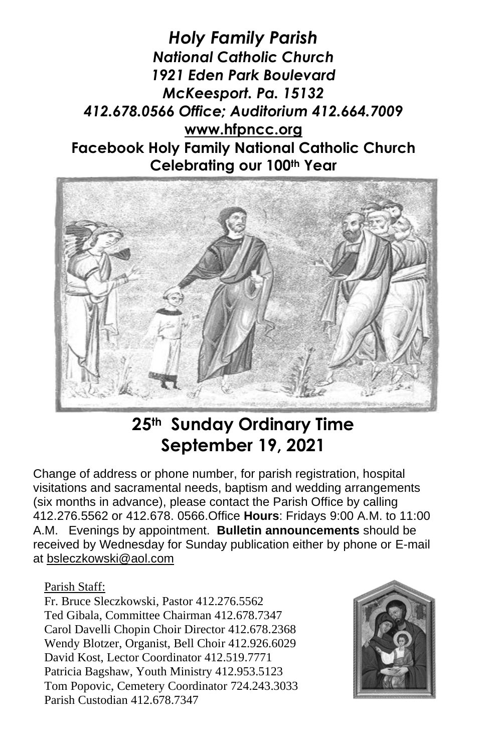*Holy Family Parish National Catholic Church 1921 Eden Park Boulevard McKeesport. Pa. 15132 412.678.0566 Office; Auditorium 412.664.7009* **[www.hfpncc.org](http://www.hfpncc.org/) Facebook Holy Family National Catholic Church Celebrating our 100th Year**



# **25th Sunday Ordinary Time September 19, 2021**

Change of address or phone number, for parish registration, hospital visitations and sacramental needs, baptism and wedding arrangements (six months in advance), please contact the Parish Office by calling 412.276.5562 or 412.678. 0566.Office **Hours**: Fridays 9:00 A.M. to 11:00 A.M. Evenings by appointment. **Bulletin announcements** should be received by Wednesday for Sunday publication either by phone or E-mail at [bsleczkowski@aol.com](mailto:bsleczkowski@aol.com)

#### Parish Staff:

Fr. Bruce Sleczkowski, Pastor 412.276.5562 Ted Gibala, Committee Chairman 412.678.7347 Carol Davelli Chopin Choir Director 412.678.2368 Wendy Blotzer, Organist, Bell Choir 412.926.6029 David Kost, Lector Coordinator 412.519.7771 Patricia Bagshaw, Youth Ministry 412.953.5123 Tom Popovic, Cemetery Coordinator 724.243.3033 Parish Custodian 412.678.7347

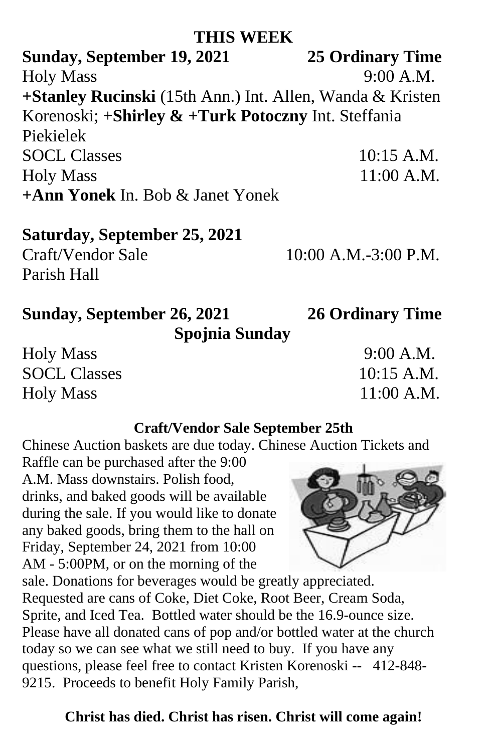# **THIS WEEK**

**Sunday, September 19, 2021 25 Ordinary Time**  Holy Mass 9:00 A.M. **+Stanley Rucinski** (15th Ann.) Int. Allen, Wanda & Kristen Korenoski; +**Shirley & +Turk Potoczny** Int. Steffania Piekielek SOCL Classes 10:15 A.M. Holy Mass 11:00 A.M. **+Ann Yonek** In. Bob & Janet Yonek

## **Saturday, September 25, 2021**

Craft/Vendor Sale 10:00 A.M.-3:00 P.M. Parish Hall

# **Sunday, September 26, 2021 26 Ordinary Time Spojnia Sunday**

Holy Mass 9:00 A.M. SOCL Classes 10:15 A.M. Holy Mass 11:00 A.M.

# **Craft/Vendor Sale September 25th**

Chinese Auction baskets are due today. Chinese Auction Tickets and

Raffle can be purchased after the 9:00 A.M. Mass downstairs. Polish food, drinks, and baked goods will be available during the sale. If you would like to donate any baked goods, bring them to the hall on Friday, September 24, 2021 from 10:00 AM - 5:00PM, or on the morning of the

sale. Donations for beverages would be greatly appreciated. Requested are cans of Coke, Diet Coke, Root Beer, Cream Soda, Sprite, and Iced Tea. Bottled water should be the 16.9-ounce size. Please have all donated cans of pop and/or bottled water at the church today so we can see what we still need to buy. If you have any questions, please feel free to contact Kristen Korenoski -- 412-848- 9215. Proceeds to benefit Holy Family Parish,

# **Christ has died. Christ has risen. Christ will come again!**

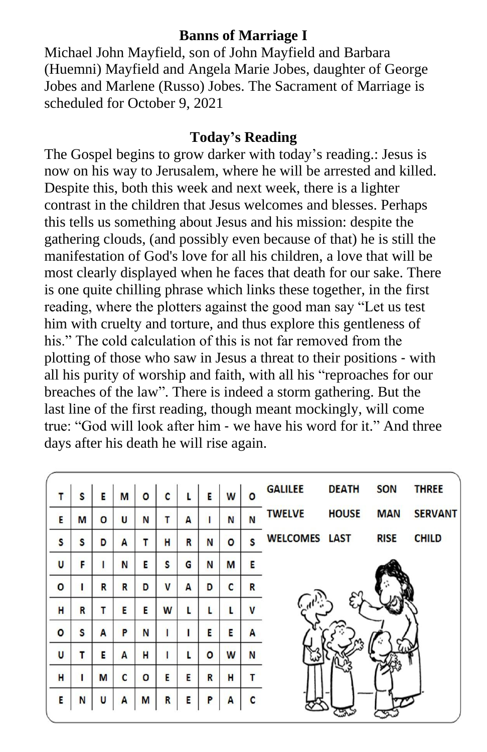## **Banns of Marriage I**

Michael John Mayfield, son of John Mayfield and Barbara (Huemni) Mayfield and Angela Marie Jobes, daughter of George Jobes and Marlene (Russo) Jobes. The Sacrament of Marriage is scheduled for October 9, 2021

### **Today's Reading**

The Gospel begins to grow darker with today's reading.: Jesus is now on his way to Jerusalem, where he will be arrested and killed. Despite this, both this week and next week, there is a lighter contrast in the children that Jesus welcomes and blesses. Perhaps this tells us something about Jesus and his mission: despite the gathering clouds, (and possibly even because of that) he is still the manifestation of God's love for all his children, a love that will be most clearly displayed when he faces that death for our sake. There is one quite chilling phrase which links these together, in the first reading, where the plotters against the good man say "Let us test him with cruelty and torture, and thus explore this gentleness of his." The cold calculation of this is not far removed from the plotting of those who saw in Jesus a threat to their positions ‑ with all his purity of worship and faith, with all his "reproaches for our breaches of the law". There is indeed a storm gathering. But the last line of the first reading, though meant mockingly, will come true: "God will look after him ‑ we have his word for it." And three days after his death he will rise again.

| S | Е | M | O | C | L | Е | W        | $\Omega$     | <b>GALILEE</b> | <b>DEATH</b> | <b>SON</b>                 | <b>THREE</b>   |
|---|---|---|---|---|---|---|----------|--------------|----------------|--------------|----------------------------|----------------|
| M | O | U | N | т | A |   | N        | N            | <b>TWELVE</b>  | <b>HOUSE</b> | <b>MAN</b>                 | <b>SERVANT</b> |
| S | D | A | т | н | R | N | $\Omega$ | S            |                |              | <b>RISE</b>                | <b>CHILD</b>   |
| F |   | N | Е | S | G | N | M        | Е            |                |              |                            |                |
| ı | R | R | D | V | A | D | C        | R            |                |              |                            |                |
| R | т | E | E | W | L |   | L        | $\mathsf{V}$ |                |              |                            |                |
| S | A | P | N |   |   | E | E        | A            |                |              |                            |                |
| т | Е | A | н | ſ | L | O | W        | N            |                |              |                            |                |
| ı | M | C | O | E | Е | R | H        | т            |                |              |                            |                |
| N | U | A | M | R | E | P | A        | C            |                |              |                            |                |
|   |   |   |   |   |   |   |          |              |                |              | <b>WELCOMES LAST</b><br>জে |                |